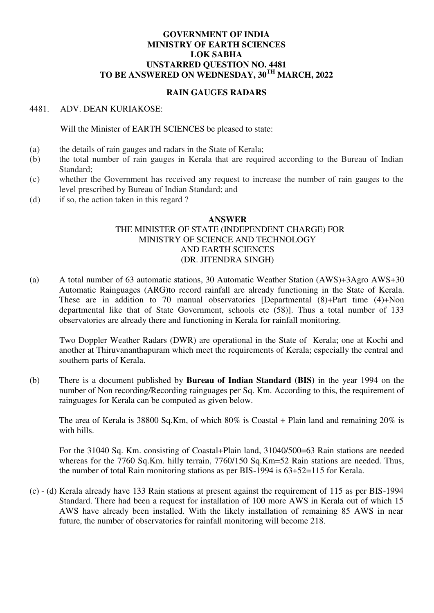## **GOVERNMENT OF INDIA MINISTRY OF EARTH SCIENCES LOK SABHA UNSTARRED QUESTION NO. 4481 TO BE ANSWERED ON WEDNESDAY, 30TH MARCH, 2022**

## **RAIN GAUGES RADARS**

#### 4481. ADV. DEAN KURIAKOSE:

Will the Minister of EARTH SCIENCES be pleased to state:

- (a) the details of rain gauges and radars in the State of Kerala;
- (b) the total number of rain gauges in Kerala that are required according to the Bureau of Indian Standard;
- (c) whether the Government has received any request to increase the number of rain gauges to the level prescribed by Bureau of Indian Standard; and
- (d) if so, the action taken in this regard ?

## **ANSWER**

## THE MINISTER OF STATE (INDEPENDENT CHARGE) FOR MINISTRY OF SCIENCE AND TECHNOLOGY AND EARTH SCIENCES (DR. JITENDRA SINGH)

(a) A total number of 63 automatic stations, 30 Automatic Weather Station (AWS)+3Agro AWS+30 Automatic Rainguages (ARG)to record rainfall are already functioning in the State of Kerala. These are in addition to 70 manual observatories [Departmental (8)+Part time (4)+Non departmental like that of State Government, schools etc (58)]. Thus a total number of 133 observatories are already there and functioning in Kerala for rainfall monitoring.

Two Doppler Weather Radars (DWR) are operational in the State of Kerala; one at Kochi and another at Thiruvananthapuram which meet the requirements of Kerala; especially the central and southern parts of Kerala.

(b) There is a document published by **Bureau of Indian Standard (BIS)** in the year 1994 on the number of Non recording/Recording rainguages per Sq. Km. According to this, the requirement of rainguages for Kerala can be computed as given below.

The area of Kerala is 38800 Sq.Km, of which 80% is Coastal + Plain land and remaining 20% is with hills.

For the 31040 Sq. Km. consisting of Coastal+Plain land, 31040/500=63 Rain stations are needed whereas for the 7760 Sq.Km. hilly terrain, 7760/150 Sq.Km=52 Rain stations are needed. Thus, the number of total Rain monitoring stations as per BIS-1994 is 63+52=115 for Kerala.

(c) - (d) Kerala already have 133 Rain stations at present against the requirement of 115 as per BIS-1994 Standard. There had been a request for installation of 100 more AWS in Kerala out of which 15 AWS have already been installed. With the likely installation of remaining 85 AWS in near future, the number of observatories for rainfall monitoring will become 218.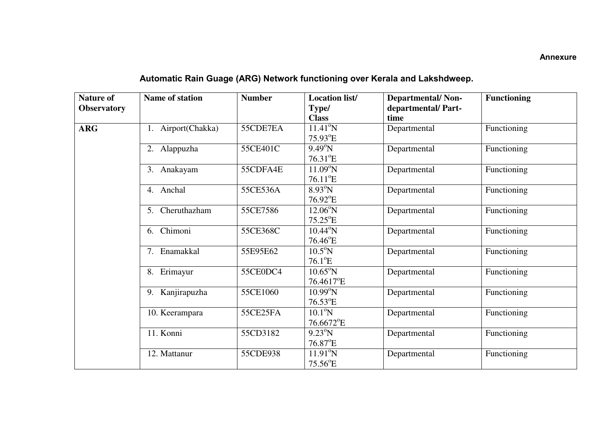## **Annexure**

# **Automatic Rain Guage (ARG) Network functioning over Kerala and Lakshdweep.**

| <b>Nature of</b><br><b>Observatory</b> | <b>Name of station</b> | <b>Number</b> | <b>Location list/</b><br>Type/<br><b>Class</b> | <b>Departmental/Non-</b><br>departmental/Part-<br>time | <b>Functioning</b> |
|----------------------------------------|------------------------|---------------|------------------------------------------------|--------------------------------------------------------|--------------------|
| <b>ARG</b>                             | 1. Airport(Chakka)     | 55CDE7EA      | $11.41^{\circ}N$<br>$75.93$ <sup>o</sup> E     | Departmental                                           | Functioning        |
|                                        | 2. Alappuzha           | 55CE401C      | $9.49^{\circ}$ N<br>$76.31^{\circ}E$           | Departmental                                           | Functioning        |
|                                        | 3. Anakayam            | 55CDFA4E      | $11.09^{\circ}N$<br>$76.11^{\circ}E$           | Departmental                                           | Functioning        |
|                                        | 4. Anchal              | 55CE536A      | $8.93^{\circ}N$<br>$76.92$ <sup>°</sup> E      | Departmental                                           | Functioning        |
|                                        | Cheruthazham<br>5.     | 55CE7586      | $12.06^{\circ}N$<br>$75.25^{\circ}$ E          | Departmental                                           | Functioning        |
|                                        | Chimoni<br>6.          | 55CE368C      | $10.44^{\circ}$ N<br>$76.46^{\circ}$ E         | Departmental                                           | Functioning        |
|                                        | Enamakkal<br>7.        | 55E95E62      | $10.5^{\circ}$ N<br>$76.1^{\circ}E$            | Departmental                                           | Functioning        |
|                                        | Erimayur<br>8.         | 55CE0DC4      | $10.65^{\circ}$ N<br>76.4617°E                 | Departmental                                           | Functioning        |
|                                        | Kanjirapuzha<br>9.     | 55CE1060      | $10.99^{\circ}$ N<br>$76.53^{\circ}E$          | Departmental                                           | Functioning        |
|                                        | 10. Keerampara         | 55CE25FA      | $10.1^{\circ}$ N<br>76.6672°E                  | Departmental                                           | Functioning        |
|                                        | 11. Konni              | 55CD3182      | $9.23^{\circ}N$<br>$76.87^{\circ}$ E           | Departmental                                           | Functioning        |
|                                        | 12. Mattanur           | 55CDE938      | $11.91^{\circ}N$<br>$75.56^{\circ}$ E          | Departmental                                           | Functioning        |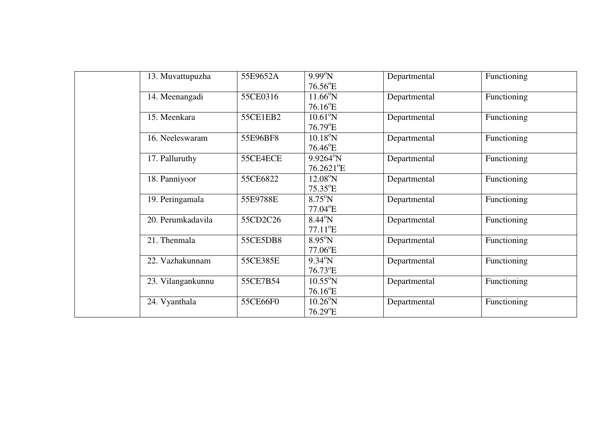| 13. Muvattupuzha  | 55E9652A | $9.99^{\circ}N$          | Departmental | Functioning |
|-------------------|----------|--------------------------|--------------|-------------|
|                   |          | $76.56$ <sup>o</sup> E   |              |             |
| 14. Meenangadi    | 55CE0316 | $11.66^{\circ}N$         | Departmental | Functioning |
|                   |          | $76.16$ <sup>°</sup> E   |              |             |
| 15. Meenkara      | 55CE1EB2 | $10.61^{\circ}$ N        | Departmental | Functioning |
|                   |          | $76.79^{\circ}E$         |              |             |
| 16. Neeleswaram   | 55E96BF8 | $10.18^{\circ}$ N        | Departmental | Functioning |
|                   |          | $76.46^{\circ}$ E        |              |             |
| 17. Palluruthy    | 55CE4ECE | $9.9264^{\circ}N$        | Departmental | Functioning |
|                   |          | $76.2621$ <sup>o</sup> E |              |             |
| 18. Panniyoor     | 55CE6822 | $12.08^{\circ}$ N        | Departmental | Functioning |
|                   |          | $75.35$ <sup>o</sup> E   |              |             |
| 19. Peringamala   | 55E9788E | $8.75^{\circ}$ N         | Departmental | Functioning |
|                   |          | $77.04$ <sup>o</sup> E   |              |             |
| 20. Perumkadavila | 55CD2C26 | $8.44^{\circ}$ N         | Departmental | Functioning |
|                   |          | $77.11^{\circ}E$         |              |             |
| 21. Thenmala      | 55CE5DB8 | $8.95^{\circ}$ N         | Departmental | Functioning |
|                   |          | $77.06$ <sup>o</sup> E   |              |             |
| 22. Vazhakunnam   | 55CE385E | $9.34^{\circ}N$          | Departmental | Functioning |
|                   |          | $76.73$ <sup>°</sup> E   |              |             |
| 23. Vilangankunnu | 55CE7B54 | $10.55^{\circ}$ N        | Departmental | Functioning |
|                   |          | $76.16^{\circ}$ E        |              |             |
| 24. Vyanthala     | 55CE66F0 | $10.26^{\circ}$ N        | Departmental | Functioning |
|                   |          | $76.29$ <sup>°</sup> E   |              |             |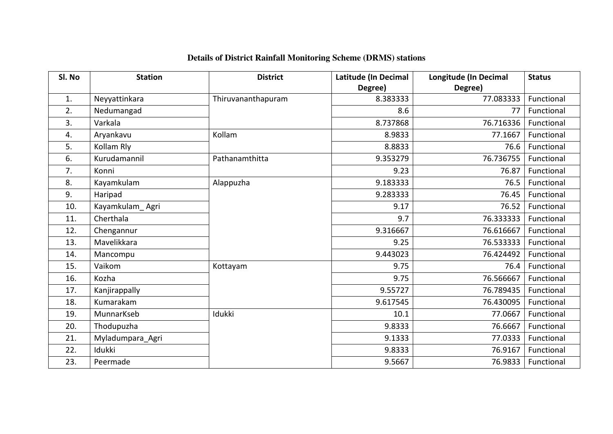| Sl. No | <b>Station</b>   | <b>District</b>    | Latitude (In Decimal | <b>Longitude (In Decimal</b> | <b>Status</b> |
|--------|------------------|--------------------|----------------------|------------------------------|---------------|
|        |                  |                    | Degree)              | Degree)                      |               |
| 1.     | Neyyattinkara    | Thiruvananthapuram | 8.383333             | 77.083333                    | Functional    |
| 2.     | Nedumangad       |                    | 8.6                  | 77                           | Functional    |
| 3.     | Varkala          |                    | 8.737868             | 76.716336                    | Functional    |
| 4.     | Aryankavu        | Kollam             | 8.9833               | 77.1667                      | Functional    |
| 5.     | Kollam Rly       |                    | 8.8833               | 76.6                         | Functional    |
| 6.     | Kurudamannil     | Pathanamthitta     | 9.353279             | 76.736755                    | Functional    |
| 7.     | Konni            |                    | 9.23                 | 76.87                        | Functional    |
| 8.     | Kayamkulam       | Alappuzha          | 9.183333             | 76.5                         | Functional    |
| 9.     | Haripad          |                    | 9.283333             | 76.45                        | Functional    |
| 10.    | Kayamkulam_Agri  |                    | 9.17                 | 76.52                        | Functional    |
| 11.    | Cherthala        |                    | 9.7                  | 76.333333                    | Functional    |
| 12.    | Chengannur       |                    | 9.316667             | 76.616667                    | Functional    |
| 13.    | Mavelikkara      |                    | 9.25                 | 76.533333                    | Functional    |
| 14.    | Mancompu         |                    | 9.443023             | 76.424492                    | Functional    |
| 15.    | Vaikom           | Kottayam           | 9.75                 | 76.4                         | Functional    |
| 16.    | Kozha            |                    | 9.75                 | 76.566667                    | Functional    |
| 17.    | Kanjirappally    |                    | 9.55727              | 76.789435                    | Functional    |
| 18.    | Kumarakam        |                    | 9.617545             | 76.430095                    | Functional    |
| 19.    | MunnarKseb       | Idukki             | 10.1                 | 77.0667                      | Functional    |
| 20.    | Thodupuzha       |                    | 9.8333               | 76.6667                      | Functional    |
| 21.    | Myladumpara_Agri |                    | 9.1333               | 77.0333                      | Functional    |
| 22.    | Idukki           |                    | 9.8333               | 76.9167                      | Functional    |
| 23.    | Peermade         |                    | 9.5667               | 76.9833                      | Functional    |

## **Details of District Rainfall Monitoring Scheme (DRMS) stations**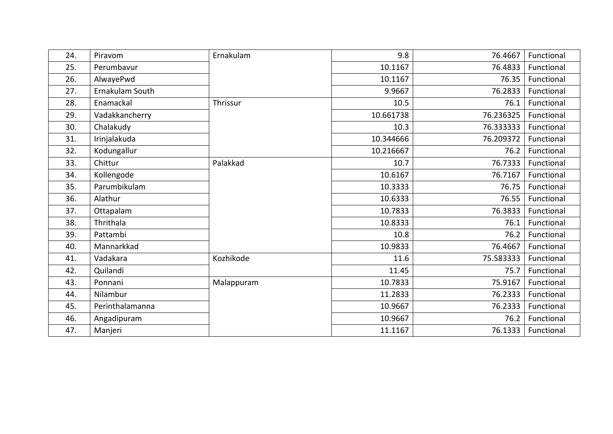| 24. | Piravom         | Ernakulam  | 9.8       | 76.4667   | Functional |
|-----|-----------------|------------|-----------|-----------|------------|
| 25. | Perumbavur      |            | 10.1167   | 76.4833   | Functional |
| 26. | AlwayePwd       |            | 10.1167   | 76.35     | Functional |
| 27. | Ernakulam South |            | 9.9667    | 76.2833   | Functional |
| 28. | Enamackal       | Thrissur   | 10.5      | 76.1      | Functional |
| 29. | Vadakkancherry  |            | 10.661738 | 76.236325 | Functional |
| 30. | Chalakudy       |            | 10.3      | 76.333333 | Functional |
| 31. | Irinjalakuda    |            | 10.344666 | 76.209372 | Functional |
| 32. | Kodungallur     |            | 10.216667 | 76.2      | Functional |
| 33. | Chittur         | Palakkad   | 10.7      | 76.7333   | Functional |
| 34. | Kollengode      |            | 10.6167   | 76.7167   | Functional |
| 35. | Parumbikulam    |            | 10.3333   | 76.75     | Functional |
| 36. | Alathur         |            | 10.6333   | 76.55     | Functional |
| 37. | Ottapalam       |            | 10.7833   | 76.3833   | Functional |
| 38. | Thrithala       |            | 10.8333   | 76.1      | Functional |
| 39. | Pattambi        |            | 10.8      | 76.2      | Functional |
| 40. | Mannarkkad      |            | 10.9833   | 76.4667   | Functional |
| 41. | Vadakara        | Kozhikode  | 11.6      | 75.583333 | Functional |
| 42. | Quilandi        |            | 11.45     | 75.7      | Functional |
| 43. | Ponnani         | Malappuram | 10.7833   | 75.9167   | Functional |
| 44. | Nilambur        |            | 11.2833   | 76.2333   | Functional |
| 45. | Perinthalamanna |            | 10.9667   | 76.2333   | Functional |
| 46. | Angadipuram     |            | 10.9667   | 76.2      | Functional |
| 47. | Manjeri         |            | 11.1167   | 76.1333   | Functional |